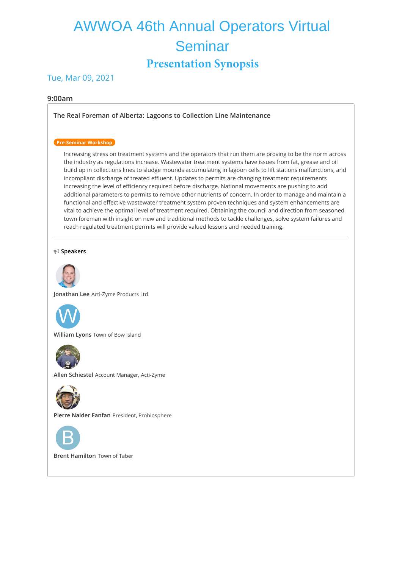# AWWOA 46th Annual Operators Virtual **Seminar Presentation Synopsis**

# Tue, Mar 09, 2021

# **9:00am**

**[The Real Foreman of Alberta: Lagoons to Collection Line Maintenance](https://whova.com/embedded/session/annua8_202012/1421590/)**

# **Pre-Seminar Workshop**

Increasing stress on treatment systems and the operators that run them are proving to be the norm across the industry as regulations increase. Wastewater treatment systems have issues from fat, grease and oil build up in collections lines to sludge mounds accumulating in lagoon cells to lift stations malfunctions, and incompliant discharge of treated effluent. Updates to permits are changing treatment requirements increasing the level of efficiency required before discharge. National movements are pushing to add additional parameters to permits to remove other nutrients of concern. In order to manage and maintain a functional and effective wastewater treatment system proven techniques and system enhancements are vital to achieve the optimal level of treatment required. Obtaining the council and direction from seasoned town foreman with insight on new and traditional methods to tackle challenges, solve system failures and reach regulated treatment permits will provide valued lessons and needed training.

#### **Speakers**



**Jonathan Lee** Acti-Zyme Products Ltd



**William Lyons** Town of Bow Island



**Allen Schiestel** Account Manager, Acti-Zyme



**Pierre Naider Fanfan** President, Probiosphere



**Brent Hamilton** Town of Taber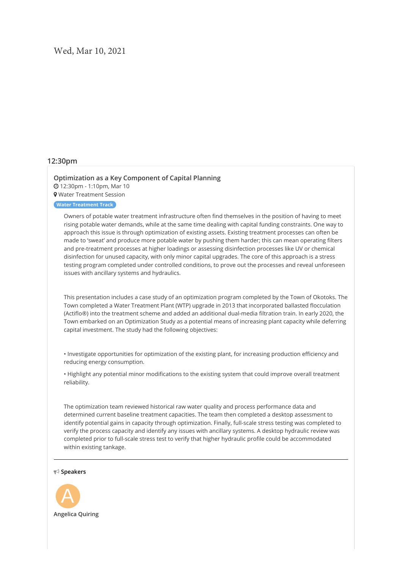# **12:30pm**

# **[Optimization as a Key Component of Capital Planning](https://whova.com/embedded/session/annua8_202012/1421595/)** 12:30pm - 1:10pm, Mar 10

Water Treatment Session

# **Water Treatment Track**

Owners of potable water treatment infrastructure often find themselves in the position of having to meet rising potable water demands, while at the same time dealing with capital funding constraints. One way to approach this issue is through optimization of existing assets. Existing treatment processes can often be made to 'sweat' and produce more potable water by pushing them harder; this can mean operating filters and pre-treatment processes at higher loadings or assessing disinfection processes like UV or chemical disinfection for unused capacity, with only minor capital upgrades. The core of this approach is a stress testing program completed under controlled conditions, to prove out the processes and reveal unforeseen issues with ancillary systems and hydraulics.

This presentation includes a case study of an optimization program completed by the Town of Okotoks. The Town completed a Water Treatment Plant (WTP) upgrade in 2013 that incorporated ballasted flocculation (Actiflo®) into the treatment scheme and added an additional dual-media filtration train. In early 2020, the Town embarked on an Optimization Study as a potential means of increasing plant capacity while deferring capital investment. The study had the following objectives:

• Investigate opportunities for optimization of the existing plant, for increasing production efficiency and reducing energy consumption.

• Highlight any potential minor modifications to the existing system that could improve overall treatment reliability.

The optimization team reviewed historical raw water quality and process performance data and determined current baseline treatment capacities. The team then completed a desktop assessment to identify potential gains in capacity through optimization. Finally, full-scale stress testing was completed to verify the process capacity and identify any issues with ancillary systems. A desktop hydraulic review was completed prior to full-scale stress test to verify that higher hydraulic profile could be accommodated within existing tankage.

#### **Speakers**

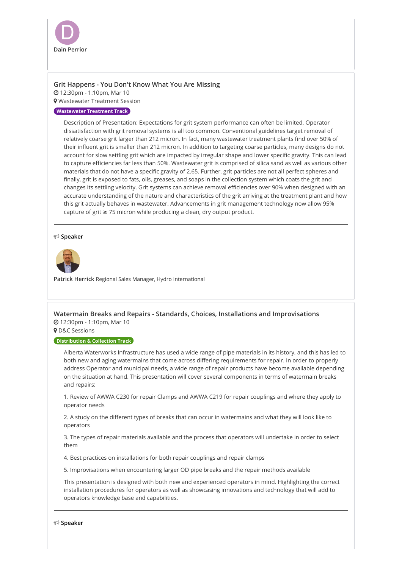

# **[Grit Happens - You Don't Know What You Are Missing](https://whova.com/embedded/session/annua8_202012/1421599/)**

12:30pm - 1:10pm, Mar 10

**9** Wastewater Treatment Session

## **Wastewater Treatment Track**

Description of Presentation: Expectations for grit system performance can often be limited. Operator dissatisfaction with grit removal systems is all too common. Conventional guidelines target removal of relatively coarse grit larger than 212 micron. In fact, many wastewater treatment plants find over 50% of their influent grit is smaller than 212 micron. In addition to targeting coarse particles, many designs do not account for slow settling grit which are impacted by irregular shape and lower specific gravity. This can lead to capture efficiencies far less than 50%. Wastewater grit is comprised of silica sand as well as various other materials that do not have a specific gravity of 2.65. Further, grit particles are not all perfect spheres and finally, grit is exposed to fats, oils, greases, and soaps in the collection system which coats the grit and changes its settling velocity. Grit systems can achieve removal efficiencies over 90% when designed with an accurate understanding of the nature and characteristics of the grit arriving at the treatment plant and how this grit actually behaves in wastewater. Advancements in grit management technology now allow 95% capture of grit ≥ 75 micron while producing a clean, dry output product.

#### **Speaker**



**Patrick Herrick** Regional Sales Manager, Hydro International

**[Watermain Breaks and Repairs - Standards, Choices, Installations and Improvisations](https://whova.com/embedded/session/annua8_202012/1421603/)** 12:30pm - 1:10pm, Mar 10

**9** D&C Sessions

### **Distribution & Collection Track**

Alberta Waterworks Infrastructure has used a wide range of pipe materials in its history, and this has led to both new and aging watermains that come across differing requirements for repair. In order to properly address Operator and municipal needs, a wide range of repair products have become available depending on the situation at hand. This presentation will cover several components in terms of watermain breaks and repairs:

1. Review of AWWA C230 for repair Clamps and AWWA C219 for repair couplings and where they apply to operator needs

2. A study on the different types of breaks that can occur in watermains and what they will look like to operators

3. The types of repair materials available and the process that operators will undertake in order to select them

4. Best practices on installations for both repair couplings and repair clamps

5. Improvisations when encountering larger OD pipe breaks and the repair methods available

This presentation is designed with both new and experienced operators in mind. Highlighting the correct installation procedures for operators as well as showcasing innovations and technology that will add to operators knowledge base and capabilities.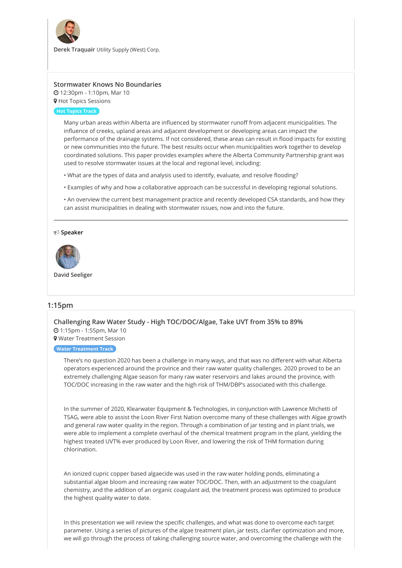

**Derek Traquair** Utility Supply (West) Corp.

# **[Stormwater Knows No Boundaries](https://whova.com/embedded/session/annua8_202012/1421607/)**

 12:30pm - 1:10pm, Mar 10 **9** Hot Topics Sessions

### **Hot Topics Track**

Many urban areas within Alberta are influenced by stormwater runoff from adjacent municipalities. The influence of creeks, upland areas and adjacent development or developing areas can impact the performance of the drainage systems. If not considered, these areas can result in flood impacts for existing or new communities into the future. The best results occur when municipalities work together to develop coordinated solutions. This paper provides examples where the Alberta Community Partnership grant was used to resolve stormwater issues at the local and regional level, including:

- What are the types of data and analysis used to identify, evaluate, and resolve flooding?
- Examples of why and how a collaborative approach can be successful in developing regional solutions.

• An overview the current best management practice and recently developed CSA standards, and how they can assist municipalities in dealing with stormwater issues, now and into the future.

#### **Speaker**



**David Seeliger**

# **1:15pm**

**[Challenging Raw Water Study - High TOC/DOC/Algae, Take UVT from 35% to 89%](https://whova.com/embedded/session/annua8_202012/1421596/)** 1:15pm - 1:55pm, Mar 10 Water Treatment Session

### **Water Treatment Track**

There's no question 2020 has been a challenge in many ways, and that was no different with what Alberta operators experienced around the province and their raw water quality challenges. 2020 proved to be an extremely challenging Algae season for many raw water reservoirs and lakes around the province, with TOC/DOC increasing in the raw water and the high risk of THM/DBP's associated with this challenge.

In the summer of 2020, Klearwater Equipment & Technologies, in conjunction with Lawrence Michetti of TSAG, were able to assist the Loon River First Nation overcome many of these challenges with Algae growth and general raw water quality in the region. Through a combination of jar testing and in plant trials, we were able to implement a complete overhaul of the chemical treatment program in the plant, yielding the highest treated UVT% ever produced by Loon River, and lowering the risk of THM formation during chlorination.

An ionized cupric copper based algaecide was used in the raw water holding ponds, eliminating a substantial algae bloom and increasing raw water TOC/DOC. Then, with an adjustment to the coagulant chemistry, and the addition of an organic coagulant aid, the treatment process was optimized to produce the highest quality water to date.

In this presentation we will review the specific challenges, and what was done to overcome each target parameter. Using a series of pictures of the algae treatment plan, jar tests, clarifier optimization and more, we will go through the process of taking challenging source water, and overcoming the challenge with the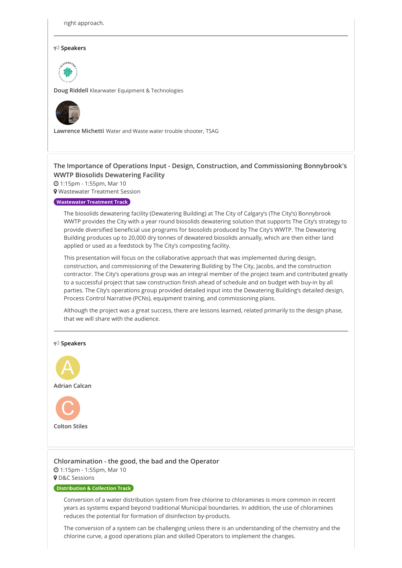right approach.

#### **Speakers**



**Doug Riddell** Klearwater Equipment & Technologies



**Lawrence Michetti** Water and Waste water trouble shooter, TSAG

# **The Importance of Operations Input - Design, Construction, and [Commissioning](https://whova.com/embedded/session/annua8_202012/1421600/) Bonnybrook's WWTP Biosolids Dewatering Facility**

1:15pm - 1:55pm, Mar 10

**9** Wastewater Treatment Session

#### **Wastewater Treatment Track**

The biosolids dewatering facility (Dewatering Building) at The City of Calgary's (The City's) Bonnybrook WWTP provides the City with a year round biosolids dewatering solution that supports The City's strategy to provide diversified beneficial use programs for biosolids produced by The City's WWTP. The Dewatering Building produces up to 20,000 dry tonnes of dewatered biosolids annually, which are then either land applied or used as a feedstock by The City's composting facility.

This presentation will focus on the collaborative approach that was implemented during design, construction, and commissioning of the Dewatering Building by The City, Jacobs, and the construction contractor. The City's operations group was an integral member of the project team and contributed greatly to a successful project that saw construction finish ahead of schedule and on budget with buy-in by all parties. The City's operations group provided detailed input into the Dewatering Building's detailed design, Process Control Narrative (PCNs), equipment training, and commissioning plans.

Although the project was a great success, there are lessons learned, related primarily to the design phase, that we will share with the audience.



**9** D&C Sessions

### **Distribution & Collection Track**

Conversion of a water distribution system from free chlorine to chloramines is more common in recent years as systems expand beyond traditional Municipal boundaries. In addition, the use of chloramines reduces the potential for formation of disinfection by-products.

The conversion of a system can be challenging unless there is an understanding of the chemistry and the chlorine curve, a good operations plan and skilled Operators to implement the changes.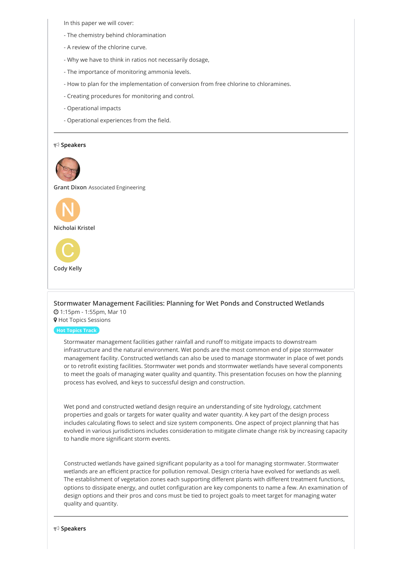In this paper we will cover:

- The chemistry behind chloramination
- A review of the chlorine curve.
- Why we have to think in ratios not necessarily dosage,
- The importance of monitoring ammonia levels.
- How to plan for the implementation of conversion from free chlorine to chloramines.
- Creating procedures for monitoring and control.
- Operational impacts
- Operational experiences from the field.

#### **Speakers**



**Grant Dixon** Associated Engineering





### **[Stormwater Management Facilities: Planning for Wet Ponds and Constructed Wetlands](https://whova.com/embedded/session/annua8_202012/1421608/)** 1:15pm - 1:55pm, Mar 10

**9** Hot Topics Sessions

#### **Hot Topics Track**

Stormwater management facilities gather rainfall and runoff to mitigate impacts to downstream infrastructure and the natural environment. Wet ponds are the most common end of pipe stormwater management facility. Constructed wetlands can also be used to manage stormwater in place of wet ponds or to retrofit existing facilities. Stormwater wet ponds and stormwater wetlands have several components to meet the goals of managing water quality and quantity. This presentation focuses on how the planning process has evolved, and keys to successful design and construction.

Wet pond and constructed wetland design require an understanding of site hydrology, catchment properties and goals or targets for water quality and water quantity. A key part of the design process includes calculating flows to select and size system components. One aspect of project planning that has evolved in various jurisdictions includes consideration to mitigate climate change risk by increasing capacity to handle more significant storm events.

Constructed wetlands have gained significant popularity as a tool for managing stormwater. Stormwater wetlands are an efficient practice for pollution removal. Design criteria have evolved for wetlands as well. The establishment of vegetation zones each supporting different plants with different treatment functions, options to dissipate energy, and outlet configuration are key components to name a few. An examination of design options and their pros and cons must be tied to project goals to meet target for managing water quality and quantity.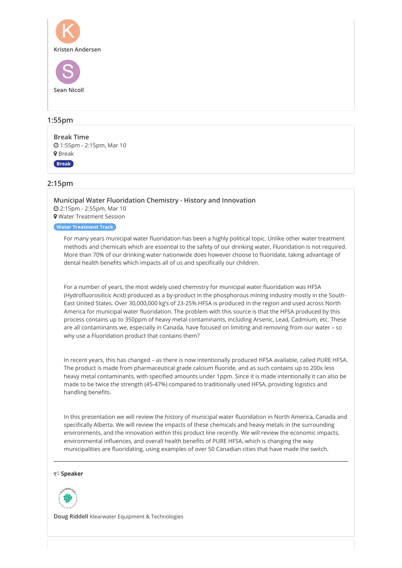

# **1:55pm**

**[Break Time](https://whova.com/embedded/session/annua8_202012/1421631/)** 1:55pm - 2:15pm, Mar 10 **9** Break

**Break**

# **2:15pm**

**[Municipal Water Fluoridation Chemistry - History and Innovation](https://whova.com/embedded/session/annua8_202012/1421597/)** 2:15pm - 2:55pm, Mar 10 Water Treatment Session

#### **Water Treatment Track**

For many years municipal water fluoridation has been a highly political topic. Unlike other water treatment methods and chemicals which are essential to the safety of our drinking water, Fluoridation is not required. More than 70% of our drinking water nationwide does however choose to fluoridate, taking advantage of dental health benefits which impacts all of us and specifically our children.

For a number of years, the most widely used chemistry for municipal water fluoridation was HFSA (Hydrofluorosilicic Acid) produced as a by-product in the phosphorous mining industry mostly in the South-East United States. Over 30,000,000 kg's of 23-25% HFSA is produced in the region and used across North America for municipal water fluoridation. The problem with this source is that the HFSA produced by this process contains up to 350ppm of heavy metal contaminants, including Arsenic, Lead, Cadmium, etc. These are all contaminants we, especially in Canada, have focused on limiting and removing from our water – so why use a Fluoridation product that contains them?

In recent years, this has changed – as there is now intentionally produced HFSA available, called PURE HFSA. The product is made from pharmaceutical grade calcium fluoride, and as such contains up to 200x less heavy metal contaminants, with specified amounts under 1ppm. Since it is made intentionally it can also be made to be twice the strength (45-47%) compared to traditionally used HFSA, providing logistics and handling benefits.

In this presentation we will review the history of municipal water fluoridation in North America, Canada and specifically Alberta. We will review the impacts of these chemicals and heavy metals in the surrounding environments, and the innovation within this product line recently. We will review the economic impacts, environmental influences, and overall health benefits of PURE HFSA, which is changing the way municipalities are fluoridating, using examples of over 50 Canadian cities that have made the switch.

#### **Speaker**



**Doug Riddell** Klearwater Equipment & Technologies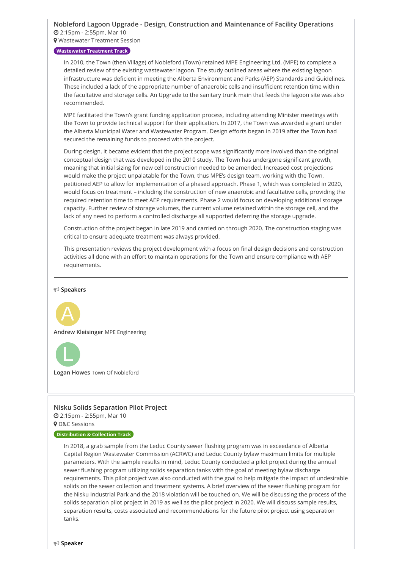# **Nobleford Lagoon Upgrade - Design, Construction and [Maintenance](https://whova.com/embedded/session/annua8_202012/1421601/) of Facility Operations**

2:15pm - 2:55pm, Mar 10

**9** Wastewater Treatment Session

#### **Wastewater Treatment Track**

In 2010, the Town (then Village) of Nobleford (Town) retained MPE Engineering Ltd. (MPE) to complete a detailed review of the existing wastewater lagoon. The study outlined areas where the existing lagoon infrastructure was deficient in meeting the Alberta Environment and Parks (AEP) Standards and Guidelines. These included a lack of the appropriate number of anaerobic cells and insufficient retention time within the facultative and storage cells. An Upgrade to the sanitary trunk main that feeds the lagoon site was also recommended.

MPE facilitated the Town's grant funding application process, including attending Minister meetings with the Town to provide technical support for their application. In 2017, the Town was awarded a grant under the Alberta Municipal Water and Wastewater Program. Design efforts began in 2019 after the Town had secured the remaining funds to proceed with the project.

During design, it became evident that the project scope was significantly more involved than the original conceptual design that was developed in the 2010 study. The Town has undergone significant growth, meaning that initial sizing for new cell construction needed to be amended. Increased cost projections would make the project unpalatable for the Town, thus MPE's design team, working with the Town, petitioned AEP to allow for implementation of a phased approach. Phase 1, which was completed in 2020, would focus on treatment – including the construction of new anaerobic and facultative cells, providing the required retention time to meet AEP requirements. Phase 2 would focus on developing additional storage capacity. Further review of storage volumes, the current volume retained within the storage cell, and the lack of any need to perform a controlled discharge all supported deferring the storage upgrade.

Construction of the project began in late 2019 and carried on through 2020. The construction staging was critical to ensure adequate treatment was always provided.

This presentation reviews the project development with a focus on final design decisions and construction activities all done with an effort to maintain operations for the Town and ensure compliance with AEP requirements.

#### **Speakers**



**Andrew Kleisinger** MPE Engineering



**Logan Howes** Town Of Nobleford

# **Nisku Solids [Separation](https://whova.com/embedded/session/annua8_202012/1421605/) Pilot Project**

 2:15pm - 2:55pm, Mar 10 **9** D&C Sessions

#### **Distribution & Collection Track**

In 2018, a grab sample from the Leduc County sewer flushing program was in exceedance of Alberta Capital Region Wastewater Commission (ACRWC) and Leduc County bylaw maximum limits for multiple parameters. With the sample results in mind, Leduc County conducted a pilot project during the annual sewer flushing program utilizing solids separation tanks with the goal of meeting bylaw discharge requirements. This pilot project was also conducted with the goal to help mitigate the impact of undesirable solids on the sewer collection and treatment systems. A brief overview of the sewer flushing program for the Nisku Industrial Park and the 2018 violation will be touched on. We will be discussing the process of the solids separation pilot project in 2019 as well as the pilot project in 2020. We will discuss sample results, separation results, costs associated and recommendations for the future pilot project using separation tanks.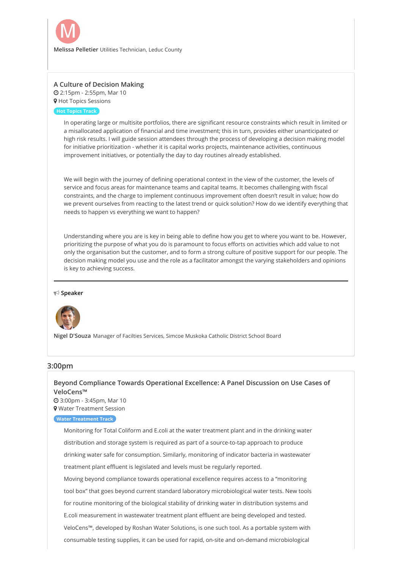

# **[A Culture of Decision Making](https://whova.com/embedded/session/annua8_202012/1421609/)**

 2:15pm - 2:55pm, Mar 10 **9** Hot Topics Sessions

**Hot Topics Track**

In operating large or multisite portfolios, there are significant resource constraints which result in limited or a misallocated application of financial and time investment; this in turn, provides either unanticipated or high risk results. I will guide session attendees through the process of developing a decision making model for initiative prioritization - whether it is capital works projects, maintenance activities, continuous improvement initiatives, or potentially the day to day routines already established.

We will begin with the journey of defining operational context in the view of the customer, the levels of service and focus areas for maintenance teams and capital teams. It becomes challenging with fiscal constraints, and the charge to implement continuous improvement often doesn't result in value; how do we prevent ourselves from reacting to the latest trend or quick solution? How do we identify everything that needs to happen vs everything we want to happen?

Understanding where you are is key in being able to define how you get to where you want to be. However, prioritizing the purpose of what you do is paramount to focus efforts on activities which add value to not only the organisation but the customer, and to form a strong culture of positive support for our people. The decision making model you use and the role as a facilitator amongst the varying stakeholders and opinions is key to achieving success.

#### **Speaker**



**Nigel D'Souza** Manager of Facilties Services, Simcoe Muskoka Catholic District School Board

# **3:00pm**

# **[Beyond Compliance Towards Operational Excellence: A Panel Discussion on Use Cases of](https://whova.com/embedded/session/annua8_202012/1421598/) VeloCens™**

 3:00pm - 3:45pm, Mar 10 Water Treatment Session

# **Water Treatment Track**

Monitoring for Total Coliform and E.coli at the water treatment plant and in the drinking water distribution and storage system is required as part of a source-to-tap approach to produce drinking water safe for consumption. Similarly, monitoring of indicator bacteria in wastewater treatment plant effluent is legislated and levels must be regularly reported. Moving beyond compliance towards operational excellence requires access to a "monitoring tool box" that goes beyond current standard laboratory microbiological water tests. New tools for routine monitoring of the biological stability of drinking water in distribution systems and E.coli measurement in wastewater treatment plant effluent are being developed and tested. VeloCens™, developed by Roshan Water Solutions, is one such tool. As a portable system with consumable testing supplies, it can be used for rapid, on-site and on-demand microbiological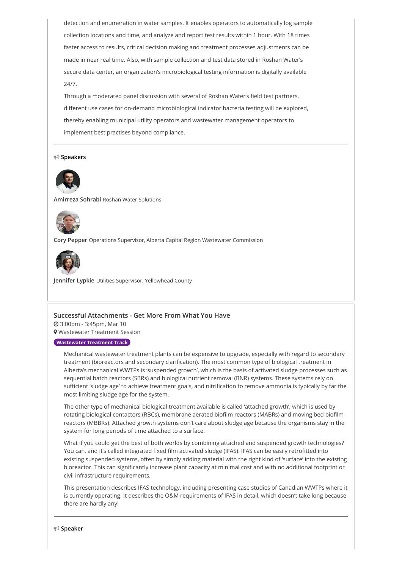detection and enumeration in water samples. It enables operators to automatically log sample collection locations and time, and analyze and report test results within 1 hour. With 18 times faster access to results, critical decision making and treatment processes adjustments can be made in near real time. Also, with sample collection and test data stored in Roshan Water's secure data center, an organization's microbiological testing information is digitally available 24/7.

Through a moderated panel discussion with several of Roshan Water's field test partners, different use cases for on-demand microbiological indicator bacteria testing will be explored, thereby enabling municipal utility operators and wastewater management operators to implement best practises beyond compliance.

#### **Speakers**



**Amirreza Sohrabi** Roshan Water Solutions



**Cory Pepper** Operations Supervisor, Alberta Capital Region Wastewater Commission



**Jennifer Lypkie** Utilities Supervisor, Yellowhead County

#### **Successful [Attachments](https://whova.com/embedded/session/annua8_202012/1421602/) - Get More From What You Have**

 3:00pm - 3:45pm, Mar 10 **9** Wastewater Treatment Session

# **Wastewater Treatment Track**

Mechanical wastewater treatment plants can be expensive to upgrade, especially with regard to secondary treatment (bioreactors and secondary clarification). The most common type of biological treatment in Alberta's mechanical WWTPs is 'suspended growth', which is the basis of activated sludge processes such as sequential batch reactors (SBRs) and biological nutrient removal (BNR) systems. These systems rely on sufficient 'sludge age' to achieve treatment goals, and nitrification to remove ammonia is typically by far the most limiting sludge age for the system.

The other type of mechanical biological treatment available is called 'attached growth', which is used by rotating biological contactors (RBCs), membrane aerated biofilm reactors (MABRs) and moving bed biofilm reactors (MBBRs). Attached growth systems don't care about sludge age because the organisms stay in the system for long periods of time attached to a surface.

What if you could get the best of both worlds by combining attached and suspended growth technologies? You can, and it's called integrated fixed film activated sludge (IFAS). IFAS can be easily retrofitted into existing suspended systems, often by simply adding material with the right kind of 'surface' into the existing bioreactor. This can significantly increase plant capacity at minimal cost and with no additional footprint or civil infrastructure requirements.

This presentation describes IFAS technology, including presenting case studies of Canadian WWTPs where it is currently operating. It describes the O&M requirements of IFAS in detail, which doesn't take long because there are hardly any!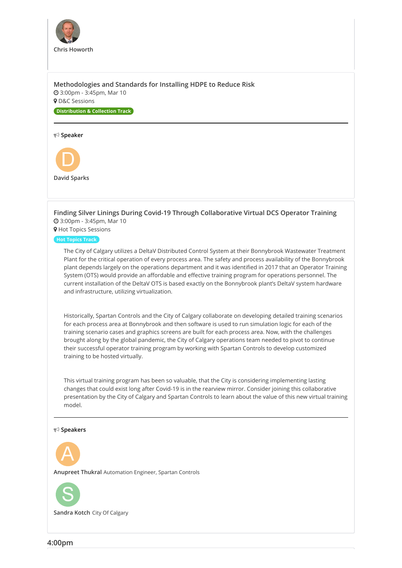

**[Methodologies and Standards for Installing HDPE to Reduce Risk](https://whova.com/embedded/session/annua8_202012/1421606/)** 3:00pm - 3:45pm, Mar 10

**9** D&C Sessions

**Distribution & Collection Track**

#### **Speaker**



**[Finding Silver Linings During Covid-19 Through Collaborative Virtual DCS Operator Training](https://whova.com/embedded/session/annua8_202012/1421610/)** 3:00pm - 3:45pm, Mar 10 **9** Hot Topics Sessions

**Hot Topics Track**

The City of Calgary utilizes a DeltaV Distributed Control System at their Bonnybrook Wastewater Treatment Plant for the critical operation of every process area. The safety and process availability of the Bonnybrook plant depends largely on the operations department and it was identified in 2017 that an Operator Training System (OTS) would provide an affordable and effective training program for operations personnel. The current installation of the DeltaV OTS is based exactly on the Bonnybrook plant's DeltaV system hardware and infrastructure, utilizing virtualization.

Historically, Spartan Controls and the City of Calgary collaborate on developing detailed training scenarios for each process area at Bonnybrook and then software is used to run simulation logic for each of the training scenario cases and graphics screens are built for each process area. Now, with the challenges brought along by the global pandemic, the City of Calgary operations team needed to pivot to continue their successful operator training program by working with Spartan Controls to develop customized training to be hosted virtually.

This virtual training program has been so valuable, that the City is considering implementing lasting changes that could exist long after Covid-19 is in the rearview mirror. Consider joining this collaborative presentation by the City of Calgary and Spartan Controls to learn about the value of this new virtual training model.

#### **Speakers**



**Anupreet Thukral** Automation Engineer, Spartan Controls



**Sandra Kotch** City Of Calgary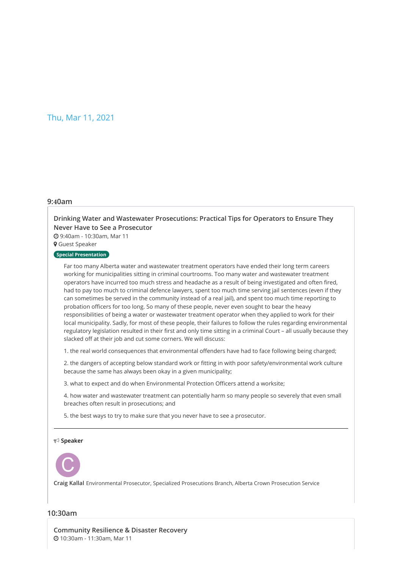# Thu, Mar 11, 2021

#### **9:40am**

# **[Drinking Water and Wastewater Prosecutions: Practical Tips for Operators to Ensure They](https://whova.com/embedded/session/annua8_202012/1421612/) Never Have to See a Prosecutor**

9:40am - 10:30am, Mar 11

Guest Speaker

# **Special Presentation**

Far too many Alberta water and wastewater treatment operators have ended their long term careers working for municipalities sitting in criminal courtrooms. Too many water and wastewater treatment operators have incurred too much stress and headache as a result of being investigated and often fired, had to pay too much to criminal defence lawyers, spent too much time serving jail sentences (even if they can sometimes be served in the community instead of a real jail), and spent too much time reporting to probation officers for too long. So many of these people, never even sought to bear the heavy responsibilities of being a water or wastewater treatment operator when they applied to work for their local municipality. Sadly, for most of these people, their failures to follow the rules regarding environmental regulatory legislation resulted in their first and only time sitting in a criminal Court – all usually because they slacked off at their job and cut some corners. We will discuss:

1. the real world consequences that environmental offenders have had to face following being charged;

2. the dangers of accepting below standard work or fitting in with poor safety/environmental work culture because the same has always been okay in a given municipality;

3. what to expect and do when Environmental Protection Officers attend a worksite;

4. how water and wastewater treatment can potentially harm so many people so severely that even small breaches often result in prosecutions; and

5. the best ways to try to make sure that you never have to see a prosecutor.

**Speaker**



**Craig Kallal** Environmental Prosecutor, Specialized Prosecutions Branch, Alberta Crown Prosecution Service

# **10:30am**

**[Community Resilience & Disaster Recovery](https://whova.com/embedded/session/annua8_202012/1421613/)** 10:30am - 11:30am, Mar 11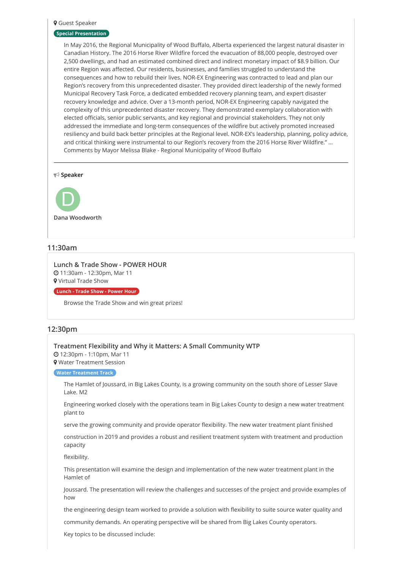#### Guest Speaker

#### **Special Presentation**

In May 2016, the Regional Municipality of Wood Buffalo, Alberta experienced the largest natural disaster in Canadian History. The 2016 Horse River Wildfire forced the evacuation of 88,000 people, destroyed over 2,500 dwellings, and had an estimated combined direct and indirect monetary impact of \$8.9 billion. Our entire Region was affected. Our residents, businesses, and families struggled to understand the consequences and how to rebuild their lives. NOR-EX Engineering was contracted to lead and plan our Region's recovery from this unprecedented disaster. They provided direct leadership of the newly formed Municipal Recovery Task Force, a dedicated embedded recovery planning team, and expert disaster recovery knowledge and advice. Over a 13-month period, NOR-EX Engineering capably navigated the complexity of this unprecedented disaster recovery. They demonstrated exemplary collaboration with elected officials, senior public servants, and key regional and provincial stakeholders. They not only addressed the immediate and long-term consequences of the wildfire but actively promoted increased resiliency and build back better principles at the Regional level. NOR-EX's leadership, planning, policy advice, and critical thinking were instrumental to our Region's recovery from the 2016 Horse River Wildfire." … Comments by Mayor Melissa Blake - Regional Municipality of Wood Buffalo

**Speaker**



# **11:30am**

**Lunch & Trade Show - [POWER](https://whova.com/embedded/session/annua8_202012/1421614/) HOUR** 11:30am - 12:30pm, Mar 11 Virtual Trade Show

**Lunch - Trade Show - Power Hour**

Browse the Trade Show and win great prizes!

## **12:30pm**

**Treatment Flexibility and Why it Matters: A Small [Community](https://whova.com/embedded/session/annua8_202012/1421615/) WTP** 12:30pm - 1:10pm, Mar 11 Water Treatment Session

**Water Treatment Track**

The Hamlet of Joussard, in Big Lakes County, is a growing community on the south shore of Lesser Slave Lake. M2

Engineering worked closely with the operations team in Big Lakes County to design a new water treatment plant to

serve the growing community and provide operator flexibility. The new water treatment plant finished

construction in 2019 and provides a robust and resilient treatment system with treatment and production capacity

flexibility.

This presentation will examine the design and implementation of the new water treatment plant in the Hamlet of

Joussard. The presentation will review the challenges and successes of the project and provide examples of how

the engineering design team worked to provide a solution with flexibility to suite source water quality and

community demands. An operating perspective will be shared from Big Lakes County operators.

Key topics to be discussed include: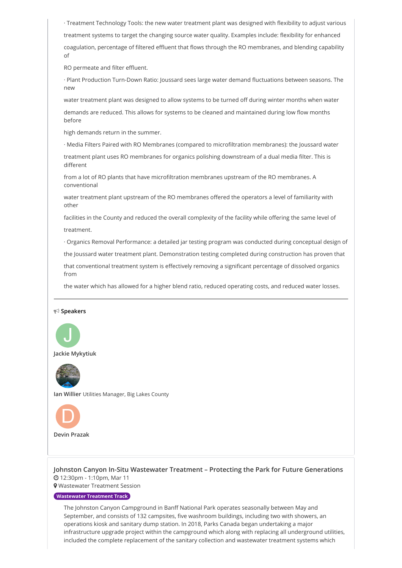· Treatment Technology Tools: the new water treatment plant was designed with flexibility to adjust various treatment systems to target the changing source water quality. Examples include: flexibility for enhanced coagulation, percentage of filtered effluent that flows through the RO membranes, and blending capability of

RO permeate and filter effluent.

· Plant Production Turn-Down Ratio: Joussard sees large water demand fluctuations between seasons. The new

water treatment plant was designed to allow systems to be turned off during winter months when water

demands are reduced. This allows for systems to be cleaned and maintained during low flow months before

high demands return in the summer.

· Media Filters Paired with RO Membranes (compared to microfiltration membranes): the Joussard water

treatment plant uses RO membranes for organics polishing downstream of a dual media filter. This is different

from a lot of RO plants that have microfiltration membranes upstream of the RO membranes. A conventional

water treatment plant upstream of the RO membranes offered the operators a level of familiarity with other

facilities in the County and reduced the overall complexity of the facility while offering the same level of treatment.

· Organics Removal Performance: a detailed jar testing program was conducted during conceptual design of

the Joussard water treatment plant. Demonstration testing completed during construction has proven that

that conventional treatment system is effectively removing a significant percentage of dissolved organics from

the water which has allowed for a higher blend ratio, reduced operating costs, and reduced water losses.

# **Speakers**



**Jackie Mykytiuk**



**Ian Willier** Utilities Manager, Big Lakes County



**[Johnston Canyon In-Situ Wastewater Treatment – Protecting the Park for Future Generations](https://whova.com/embedded/session/annua8_202012/1421619/)** 12:30pm - 1:10pm, Mar 11

Wastewater Treatment Session

#### **Wastewater Treatment Track**

The Johnston Canyon Campground in Banff National Park operates seasonally between May and September, and consists of 132 campsites, five washroom buildings, including two with showers, an operations kiosk and sanitary dump station. In 2018, Parks Canada began undertaking a major infrastructure upgrade project within the campground which along with replacing all underground utilities, included the complete replacement of the sanitary collection and wastewater treatment systems which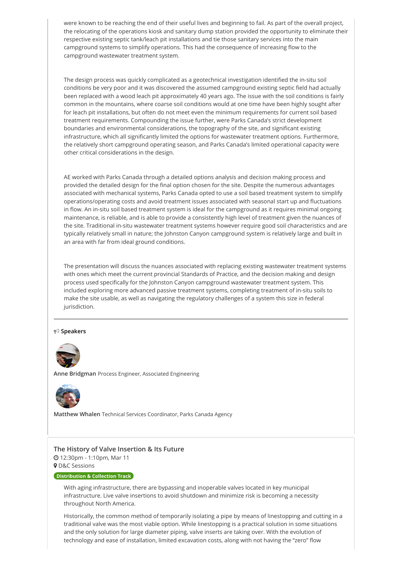were known to be reaching the end of their useful lives and beginning to fail. As part of the overall project, the relocating of the operations kiosk and sanitary dump station provided the opportunity to eliminate their respective existing septic tank/leach pit installations and tie those sanitary services into the main campground systems to simplify operations. This had the consequence of increasing flow to the campground wastewater treatment system.

The design process was quickly complicated as a geotechnical investigation identified the in-situ soil conditions be very poor and it was discovered the assumed campground existing septic field had actually been replaced with a wood leach pit approximately 40 years ago. The issue with the soil conditions is fairly common in the mountains, where coarse soil conditions would at one time have been highly sought after for leach pit installations, but often do not meet even the minimum requirements for current soil based treatment requirements. Compounding the issue further, were Parks Canada's strict development boundaries and environmental considerations, the topography of the site, and significant existing infrastructure, which all significantly limited the options for wastewater treatment options. Furthermore, the relatively short campground operating season, and Parks Canada's limited operational capacity were other critical considerations in the design.

AE worked with Parks Canada through a detailed options analysis and decision making process and provided the detailed design for the final option chosen for the site. Despite the numerous advantages associated with mechanical systems, Parks Canada opted to use a soil based treatment system to simplify operations/operating costs and avoid treatment issues associated with seasonal start up and fluctuations in flow. An in-situ soil based treatment system is ideal for the campground as it requires minimal ongoing maintenance, is reliable, and is able to provide a consistently high level of treatment given the nuances of the site. Traditional in-situ wastewater treatment systems however require good soil characteristics and are typically relatively small in nature; the Johnston Canyon campground system is relatively large and built in an area with far from ideal ground conditions.

The presentation will discuss the nuances associated with replacing existing wastewater treatment systems with ones which meet the current provincial Standards of Practice, and the decision making and design process used specifically for the Johnston Canyon campground wastewater treatment system. This included exploring more advanced passive treatment systems, completing treatment of in-situ soils to make the site usable, as well as navigating the regulatory challenges of a system this size in federal jurisdiction.

#### **Speakers**



**Anne Bridgman** Process Engineer, Associated Engineering



**Matthew Whalen** Technical Services Coordinator, Parks Canada Agency

### **[The History of Valve Insertion & Its Future](https://whova.com/embedded/session/annua8_202012/1421623/)**

12:30pm - 1:10pm, Mar 11

**9** D&C Sessions

#### **Distribution & Collection Track**

With aging infrastructure, there are bypassing and inoperable valves located in key municipal infrastructure. Live valve insertions to avoid shutdown and minimize risk is becoming a necessity throughout North America.

Historically, the common method of temporarily isolating a pipe by means of linestopping and cutting in a traditional valve was the most viable option. While linestopping is a practical solution in some situations and the only solution for large diameter piping, valve inserts are taking over. With the evolution of technology and ease of installation, limited excavation costs, along with not having the "zero" flow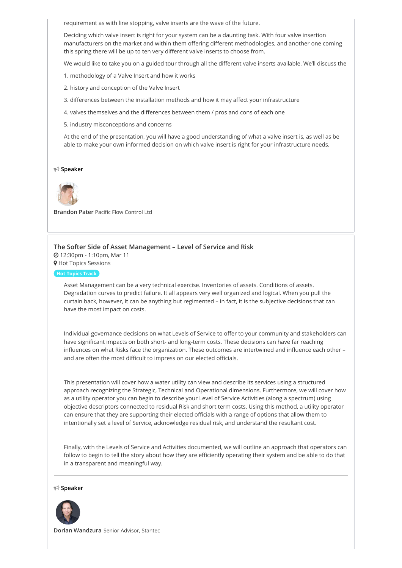requirement as with line stopping, valve inserts are the wave of the future.

Deciding which valve insert is right for your system can be a daunting task. With four valve insertion manufacturers on the market and within them offering different methodologies, and another one coming this spring there will be up to ten very different valve inserts to choose from.

We would like to take you on a guided tour through all the different valve inserts available. We'll discuss the

1. methodology of a Valve Insert and how it works

- 2. history and conception of the Valve Insert
- 3. differences between the installation methods and how it may affect your infrastructure
- 4. valves themselves and the differences between them / pros and cons of each one
- 5. industry misconceptions and concerns

At the end of the presentation, you will have a good understanding of what a valve insert is, as well as be able to make your own informed decision on which valve insert is right for your infrastructure needs.

#### **Speaker**



**Brandon Pater** Pacific Flow Control Ltd

#### **[The Softer Side of Asset Management – Level of Service and Risk](https://whova.com/embedded/session/annua8_202012/1421627/)**

12:30pm - 1:10pm, Mar 11

**9** Hot Topics Sessions

#### **Hot Topics Track**

Asset Management can be a very technical exercise. Inventories of assets. Conditions of assets. Degradation curves to predict failure. It all appears very well organized and logical. When you pull the curtain back, however, it can be anything but regimented – in fact, it is the subjective decisions that can have the most impact on costs.

Individual governance decisions on what Levels of Service to offer to your community and stakeholders can have significant impacts on both short- and long-term costs. These decisions can have far reaching influences on what Risks face the organization. These outcomes are intertwined and influence each other – and are often the most difficult to impress on our elected officials.

This presentation will cover how a water utility can view and describe its services using a structured approach recognizing the Strategic, Technical and Operational dimensions. Furthermore, we will cover how as a utility operator you can begin to describe your Level of Service Activities (along a spectrum) using objective descriptors connected to residual Risk and short term costs. Using this method, a utility operator can ensure that they are supporting their elected officials with a range of options that allow them to intentionally set a level of Service, acknowledge residual risk, and understand the resultant cost.

Finally, with the Levels of Service and Activities documented, we will outline an approach that operators can follow to begin to tell the story about how they are efficiently operating their system and be able to do that in a transparent and meaningful way.

#### **Speaker**



**Dorian Wandzura** Senior Advisor, Stantec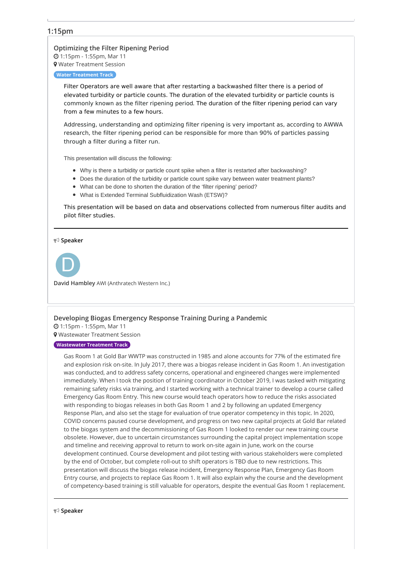# **1:15pm**

**[Optimizing](https://whova.com/embedded/session/annua8_202012/1421616/) the Filter Ripening Period** 1:15pm - 1:55pm, Mar 11 Water Treatment Session

#### **Water Treatment Track**

Filter Operators are well aware that after restarting a backwashed filter there is a period of elevated turbidity or particle counts. The duration of the elevated turbidity or particle counts is commonly known as the filter ripening period. The duration of the filter ripening period can vary from a few minutes to a few hours.

Addressing, understanding and optimizing filter ripening is very important as, according to AWWA research, the filter ripening period can be responsible for more than 90% of particles passing through a filter during a filter run.

This presentation will discuss the following:

- Why is there a turbidity or particle count spike when a filter is restarted after backwashing?
- Does the duration of the turbidity or particle count spike vary between water treatment plants?
- What can be done to shorten the duration of the 'filter ripening' period?
- What is Extended Terminal Subfluidization Wash (ETSW)?

This presentation will be based on data and observations collected from numerous filter audits and pilot filter studies.

**Speaker**



**David Hambley** AWI (Anthratech Western Inc.)

#### **[Developing](https://whova.com/embedded/session/annua8_202012/1421620/) Biogas Emergency Response Training During a Pandemic**

1:15pm - 1:55pm, Mar 11

Wastewater Treatment Session

#### **Wastewater Treatment Track**

Gas Room 1 at Gold Bar WWTP was constructed in 1985 and alone accounts for 77% of the estimated fire and explosion risk on-site. In July 2017, there was a biogas release incident in Gas Room 1. An investigation was conducted, and to address safety concerns, operational and engineered changes were implemented immediately. When I took the position of training coordinator in October 2019, I was tasked with mitigating remaining safety risks via training, and I started working with a technical trainer to develop a course called Emergency Gas Room Entry. This new course would teach operators how to reduce the risks associated with responding to biogas releases in both Gas Room 1 and 2 by following an updated Emergency Response Plan, and also set the stage for evaluation of true operator competency in this topic. In 2020, COVID concerns paused course development, and progress on two new capital projects at Gold Bar related to the biogas system and the decommissioning of Gas Room 1 looked to render our new training course obsolete. However, due to uncertain circumstances surrounding the capital project implementation scope and timeline and receiving approval to return to work on-site again in June, work on the course development continued. Course development and pilot testing with various stakeholders were completed by the end of October, but complete roll-out to shift operators is TBD due to new restrictions. This presentation will discuss the biogas release incident, Emergency Response Plan, Emergency Gas Room Entry course, and projects to replace Gas Room 1. It will also explain why the course and the development of competency-based training is still valuable for operators, despite the eventual Gas Room 1 replacement.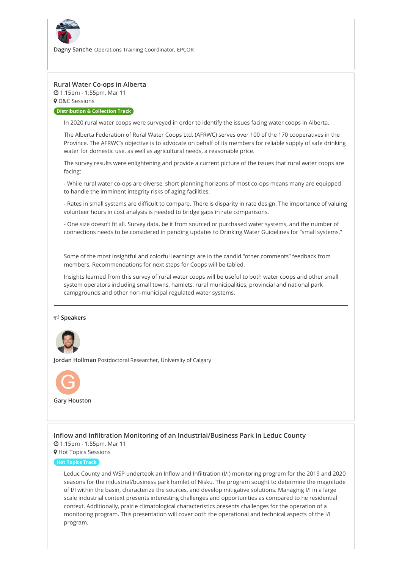

**Dagny Sanche** Operations Training Coordinator, EPCOR

### **[Rural Water Co-ops in Alberta](https://whova.com/embedded/session/annua8_202012/1421624/)**

1:15pm - 1:55pm, Mar 11

**9** D&C Sessions

**Distribution & Collection Track**

In 2020 rural water coops were surveyed in order to identify the issues facing water coops in Alberta.

The Alberta Federation of Rural Water Coops Ltd. (AFRWC) serves over 100 of the 170 cooperatives in the Province. The AFRWC's objective is to advocate on behalf of its members for reliable supply of safe drinking water for domestic use, as well as agricultural needs, a reasonable price.

The survey results were enlightening and provide a current picture of the issues that rural water coops are facing:

- While rural water co-ops are diverse, short planning horizons of most co-ops means many are equipped to handle the imminent integrity risks of aging facilities.

- Rates in small systems are difficult to compare. There is disparity in rate design. The importance of valuing volunteer hours in cost analysis is needed to bridge gaps in rate comparisons.

- One size doesn't fit all. Survey data, be it from sourced or purchased water systems, and the number of connections needs to be considered in pending updates to Drinking Water Guidelines for "small systems."

Some of the most insightful and colorful learnings are in the candid "other comments" feedback from members. Recommendations for next steps for Coops will be tabled.

Insights learned from this survey of rural water coops will be useful to both water coops and other small system operators including small towns, hamlets, rural municipalities, provincial and national park campgrounds and other non-municipal regulated water systems.

#### **Speakers**



**Jordan Hollman** Postdoctoral Researcher, University of Calgary



# **[Inflow and Infiltration Monitoring of an Industrial/Business Park in Leduc County](https://whova.com/embedded/session/annua8_202012/1421628/)**

 1:15pm - 1:55pm, Mar 11 **9** Hot Topics Sessions

#### **Hot Topics Track**

Leduc County and WSP undertook an Inflow and Infiltration (I/I) monitoring program for the 2019 and 2020 seasons for the industrial/business park hamlet of Nisku. The program sought to determine the magnitude of I/I within the basin, characterize the sources, and develop mitigative solutions. Managing I/I in a large scale industrial context presents interesting challenges and opportunities as compared to he residential context. Additionally, prairie climatological characteristics presents challenges for the operation of a monitoring program. This presentation will cover both the operational and technical aspects of the I/I program.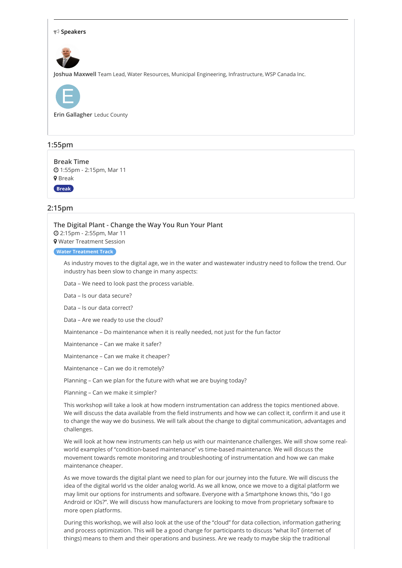

# **1:55pm**

**[Break](https://whova.com/embedded/session/annua8_202012/1421632/) Time** 1:55pm - 2:15pm, Mar 11 **9** Break **Break**

# **2:15pm**

**The Digital Plant - [Change](https://whova.com/embedded/session/annua8_202012/1421617/) the Way You Run Your Plant**

2:15pm - 2:55pm, Mar 11

Water Treatment Session

#### **Water Treatment Track**

As industry moves to the digital age, we in the water and wastewater industry need to follow the trend. Our industry has been slow to change in many aspects:

Data – We need to look past the process variable.

Data – Is our data secure?

Data – Is our data correct?

Data – Are we ready to use the cloud?

Maintenance – Do maintenance when it is really needed, not just for the fun factor

Maintenance – Can we make it safer?

Maintenance – Can we make it cheaper?

Maintenance – Can we do it remotely?

Planning – Can we plan for the future with what we are buying today?

Planning – Can we make it simpler?

This workshop will take a look at how modern instrumentation can address the topics mentioned above. We will discuss the data available from the field instruments and how we can collect it, confirm it and use it to change the way we do business. We will talk about the change to digital communication, advantages and challenges.

We will look at how new instruments can help us with our maintenance challenges. We will show some realworld examples of "condition-based maintenance" vs time-based maintenance. We will discuss the movement towards remote monitoring and troubleshooting of instrumentation and how we can make maintenance cheaper.

As we move towards the digital plant we need to plan for our journey into the future. We will discuss the idea of the digital world vs the older analog world. As we all know, once we move to a digital platform we may limit our options for instruments and software. Everyone with a Smartphone knows this, "do I go Android or IOs?". We will discuss how manufacturers are looking to move from proprietary software to more open platforms.

During this workshop, we will also look at the use of the "cloud" for data collection, information gathering and process optimization. This will be a good change for participants to discuss "what IIoT (internet of things) means to them and their operations and business. Are we ready to maybe skip the traditional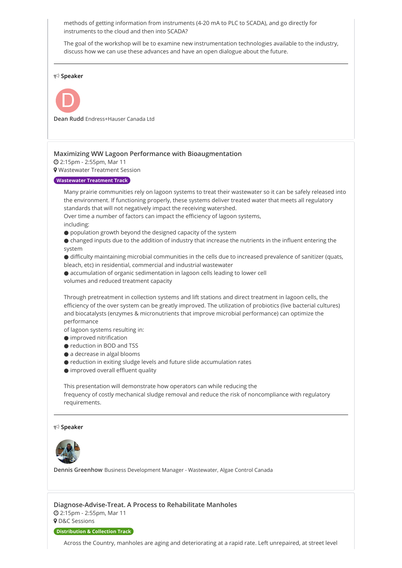methods of getting information from instruments (4-20 mA to PLC to SCADA), and go directly for instruments to the cloud and then into SCADA?

The goal of the workshop will be to examine new instrumentation technologies available to the industry, discuss how we can use these advances and have an open dialogue about the future.

#### **Speaker**



**Dean Rudd** Endress+Hauser Canada Ltd

#### **[Maximizing WW Lagoon Performance with Bioaugmentation](https://whova.com/embedded/session/annua8_202012/1421621/)**

2:15pm - 2:55pm, Mar 11

Wastewater Treatment Session

#### **Wastewater Treatment Track**

Many prairie communities rely on lagoon systems to treat their wastewater so it can be safely released into the environment. If functioning properly, these systems deliver treated water that meets all regulatory standards that will not negatively impact the receiving watershed.

Over time a number of factors can impact the efficiency of lagoon systems, including:

- population growth beyond the designed capacity of the system
- changed inputs due to the addition of industry that increase the nutrients in the influent entering the system

● difficulty maintaining microbial communities in the cells due to increased prevalence of sanitizer (quats, bleach, etc) in residential, commercial and industrial wastewater

- accumulation of organic sedimentation in lagoon cells leading to lower cell
- volumes and reduced treatment capacity

Through pretreatment in collection systems and lift stations and direct treatment in lagoon cells, the efficiency of the over system can be greatly improved. The utilization of probiotics (live bacterial cultures) and biocatalysts (enzymes & micronutrients that improve microbial performance) can optimize the performance

- of lagoon systems resulting in:
- improved nitrification
- reduction in BOD and TSS
- a decrease in algal blooms
- reduction in exiting sludge levels and future slide accumulation rates
- improved overall effluent quality

This presentation will demonstrate how operators can while reducing the frequency of costly mechanical sludge removal and reduce the risk of noncompliance with regulatory requirements.

#### **Speaker**



**Dennis Greenhow** Business Development Manager - Wastewater, Algae Control Canada

**[Diagnose-Advise-Treat. A Process to Rehabilitate Manholes](https://whova.com/embedded/session/annua8_202012/1421625/)** 2:15pm - 2:55pm, Mar 11

**9** D&C Sessions

#### **Distribution & Collection Track**

Across the Country, manholes are aging and deteriorating at a rapid rate. Left unrepaired, at street level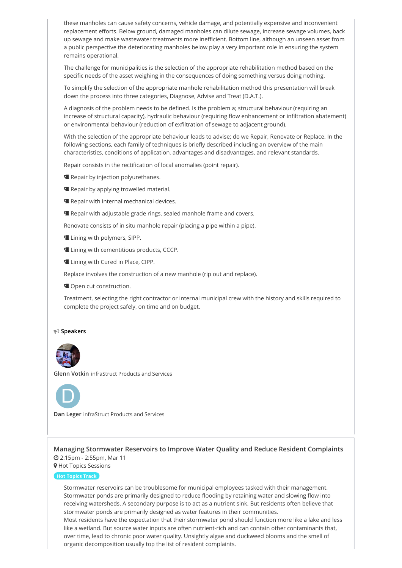these manholes can cause safety concerns, vehicle damage, and potentially expensive and inconvenient replacement efforts. Below ground, damaged manholes can dilute sewage, increase sewage volumes, back up sewage and make wastewater treatments more inefficient. Bottom line, although an unseen asset from a public perspective the deteriorating manholes below play a very important role in ensuring the system remains operational.

The challenge for municipalities is the selection of the appropriate rehabilitation method based on the specific needs of the asset weighing in the consequences of doing something versus doing nothing.

To simplify the selection of the appropriate manhole rehabilitation method this presentation will break down the process into three categories, Diagnose, Advise and Treat (D.A.T.).

A diagnosis of the problem needs to be defined. Is the problem a; structural behaviour (requiring an increase of structural capacity), hydraulic behaviour (requiring flow enhancement or infiltration abatement) or environmental behaviour (reduction of exfiltration of sewage to adjacent ground).

With the selection of the appropriate behaviour leads to advise; do we Repair, Renovate or Replace. In the following sections, each family of techniques is briefly described including an overview of the main characteristics, conditions of application, advantages and disadvantages, and relevant standards.

Repair consists in the rectification of local anomalies (point repair).

- **E** Repair by injection polyurethanes.
- **Repair by applying trowelled material.**
- **E** Repair with internal mechanical devices.
- **E** Repair with adjustable grade rings, sealed manhole frame and covers.

Renovate consists of in situ manhole repair (placing a pipe within a pipe).

- **Lining with polymers, SIPP.**
- Lining with cementitious products, CCCP.
- **Lining with Cured in Place, CIPP.**

Replace involves the construction of a new manhole (rip out and replace).

**Open cut construction.** 

Treatment, selecting the right contractor or internal municipal crew with the history and skills required to complete the project safely, on time and on budget.

#### **Speakers**



**Glenn Votkin** infraStruct Products and Services



**Dan Leger** infraStruct Products and Services

**[Managing Stormwater Reservoirs to Improve Water Quality and Reduce Resident Complaints](https://whova.com/embedded/session/annua8_202012/1421629/)** 2:15pm - 2:55pm, Mar 11

**9** Hot Topics Sessions

# **Hot Topics Track**

Stormwater reservoirs can be troublesome for municipal employees tasked with their management. Stormwater ponds are primarily designed to reduce flooding by retaining water and slowing flow into receiving watersheds. A secondary purpose is to act as a nutrient sink. But residents often believe that stormwater ponds are primarily designed as water features in their communities.

Most residents have the expectation that their stormwater pond should function more like a lake and less like a wetland. But source water inputs are often nutrient-rich and can contain other contaminants that, over time, lead to chronic poor water quality. Unsightly algae and duckweed blooms and the smell of organic decomposition usually top the list of resident complaints.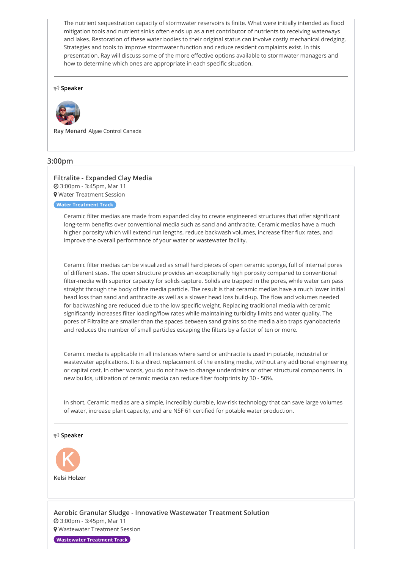The nutrient sequestration capacity of stormwater reservoirs is finite. What were initially intended as flood mitigation tools and nutrient sinks often ends up as a net contributor of nutrients to receiving waterways and lakes. Restoration of these water bodies to their original status can involve costly mechanical dredging. Strategies and tools to improve stormwater function and reduce resident complaints exist. In this presentation, Ray will discuss some of the more effective options available to stormwater managers and how to determine which ones are appropriate in each specific situation.

#### **Speaker**



**Ray Menard** Algae Control Canada

# **3:00pm**

# **[Filtralite - Expanded Clay Media](https://whova.com/embedded/session/annua8_202012/1421618/)** 3:00pm - 3:45pm, Mar 11

Water Treatment Session

# **Water Treatment Track**

Ceramic filter medias are made from expanded clay to create engineered structures that offer significant long-term benefits over conventional media such as sand and anthracite. Ceramic medias have a much higher porosity which will extend run lengths, reduce backwash volumes, increase filter flux rates, and improve the overall performance of your water or wastewater facility.

Ceramic filter medias can be visualized as small hard pieces of open ceramic sponge, full of internal pores of different sizes. The open structure provides an exceptionally high porosity compared to conventional filter-media with superior capacity for solids capture. Solids are trapped in the pores, while water can pass straight through the body of the media particle. The result is that ceramic medias have a much lower initial head loss than sand and anthracite as well as a slower head loss build-up. The flow and volumes needed for backwashing are reduced due to the low specific weight. Replacing traditional media with ceramic significantly increases filter loading/flow rates while maintaining turbidity limits and water quality. The pores of Filtralite are smaller than the spaces between sand grains so the media also traps cyanobacteria and reduces the number of small particles escaping the filters by a factor of ten or more.

Ceramic media is applicable in all instances where sand or anthracite is used in potable, industrial or wastewater applications. It is a direct replacement of the existing media, without any additional engineering or capital cost. In other words, you do not have to change underdrains or other structural components. In new builds, utilization of ceramic media can reduce filter footprints by 30 - 50%.

In short, Ceramic medias are a simple, incredibly durable, low-risk technology that can save large volumes of water, increase plant capacity, and are NSF 61 certified for potable water production.

**Speaker**



**[Aerobic Granular Sludge - Innovative Wastewater Treatment Solution](https://whova.com/embedded/session/annua8_202012/1421622/)** 3:00pm - 3:45pm, Mar 11 **9** Wastewater Treatment Session

**Wastewater Treatment Track**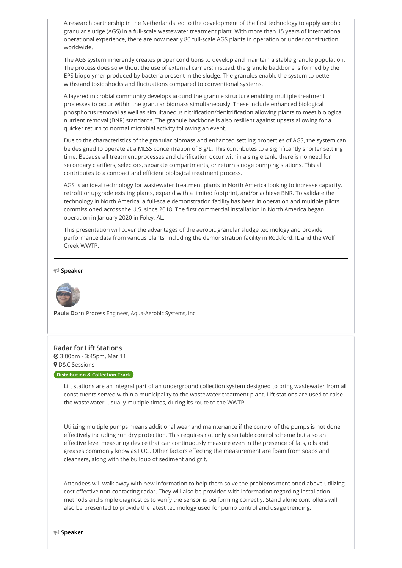A research partnership in the Netherlands led to the development of the first technology to apply aerobic granular sludge (AGS) in a full-scale wastewater treatment plant. With more than 15 years of international operational experience, there are now nearly 80 full-scale AGS plants in operation or under construction worldwide.

The AGS system inherently creates proper conditions to develop and maintain a stable granule population. The process does so without the use of external carriers; instead, the granule backbone is formed by the EPS biopolymer produced by bacteria present in the sludge. The granules enable the system to better withstand toxic shocks and fluctuations compared to conventional systems.

A layered microbial community develops around the granule structure enabling multiple treatment processes to occur within the granular biomass simultaneously. These include enhanced biological phosphorus removal as well as simultaneous nitrification/denitrification allowing plants to meet biological nutrient removal (BNR) standards. The granule backbone is also resilient against upsets allowing for a quicker return to normal microbial activity following an event.

Due to the characteristics of the granular biomass and enhanced settling properties of AGS, the system can be designed to operate at a MLSS concentration of 8 g/L. This contributes to a significantly shorter settling time. Because all treatment processes and clarification occur within a single tank, there is no need for secondary clarifiers, selectors, separate compartments, or return sludge pumping stations. This all contributes to a compact and efficient biological treatment process.

AGS is an ideal technology for wastewater treatment plants in North America looking to increase capacity, retrofit or upgrade existing plants, expand with a limited footprint, and/or achieve BNR. To validate the technology in North America, a full-scale demonstration facility has been in operation and multiple pilots commissioned across the U.S. since 2018. The first commercial installation in North America began operation in January 2020 in Foley, AL.

This presentation will cover the advantages of the aerobic granular sludge technology and provide performance data from various plants, including the demonstration facility in Rockford, IL and the Wolf Creek WWTP.

#### **Speaker**



**Paula Dorn** Process Engineer, Aqua-Aerobic Systems, Inc.

#### **[Radar for Lift Stations](https://whova.com/embedded/session/annua8_202012/1421626/)**

 3:00pm - 3:45pm, Mar 11 **9** D&C Sessions

#### **Distribution & Collection Track**

Lift stations are an integral part of an underground collection system designed to bring wastewater from all constituents served within a municipality to the wastewater treatment plant. Lift stations are used to raise the wastewater, usually multiple times, during its route to the WWTP.

Utilizing multiple pumps means additional wear and maintenance if the control of the pumps is not done effectively including run dry protection. This requires not only a suitable control scheme but also an effective level measuring device that can continuously measure even in the presence of fats, oils and greases commonly know as FOG. Other factors effecting the measurement are foam from soaps and cleansers, along with the buildup of sediment and grit.

Attendees will walk away with new information to help them solve the problems mentioned above utilizing cost effective non-contacting radar. They will also be provided with information regarding installation methods and simple diagnostics to verify the sensor is performing correctly. Stand alone controllers will also be presented to provide the latest technology used for pump control and usage trending.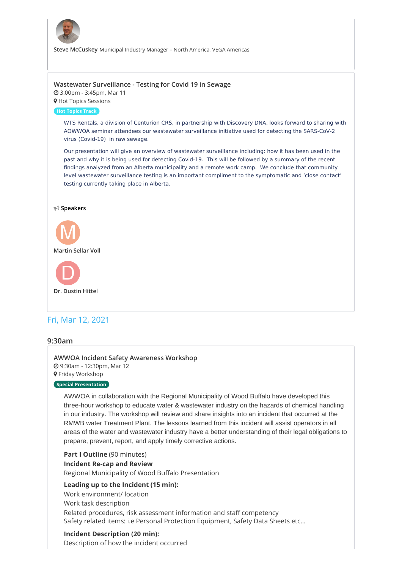

**Steve McCuskey** Municipal Industry Manager – North America, VEGA Americas

# **Wastewater [Surveillance](https://whova.com/embedded/session/annua8_202012/1421630/) - Testing for Covid 19 in Sewage**

 3:00pm - 3:45pm, Mar 11 **9** Hot Topics Sessions

**Hot Topics Track**

WTS Rentals, a division of Centurion CRS, in partnership with Discovery DNA, looks forward to sharing with AOWWOA seminar attendees our wastewater surveillance initiative used for detecting the SARS-CoV-2 virus (Covid-19) in raw sewage.

Our presentation will give an overview of wastewater surveillance including: how it has been used in the past and why it is being used for detecting Covid-19. This will be followed by a summary of the recent findings analyzed from an Alberta municipality and a remote work camp. We conclude that community level wastewater surveillance testing is an important compliment to the symptomatic and 'close contact' testing currently taking place in Alberta.

#### **Speakers**



# Fri, Mar 12, 2021

### **9:30am**

**AWWOA Incident Safety [Awareness](https://whova.com/embedded/session/annua8_202012/1421633/) Workshop** 9:30am - 12:30pm, Mar 12 **9** Friday Workshop

### **Special Presentation**

AWWOA in collaboration with the Regional Municipality of Wood Buffalo have developed this three-hour workshop to educate water & wastewater industry on the hazards of chemical handling in our industry. The workshop will review and share insights into an incident that occurred at the RMWB water Treatment Plant. The lessons learned from this incident will assist operators in all areas of the water and wastewater industry have a better understanding of their legal obligations to prepare, prevent, report, and apply timely corrective actions.

**Part I Outline** (90 minutes)

# **Incident Re-cap and Review**

Regional Municipality of Wood Buffalo Presentation

# **Leading up to the Incident (15 min):**

Work environment/ location Work task description Related procedures, risk assessment information and staff competency Safety related items: i.e Personal Protection Equipment, Safety Data Sheets etc…

# **Incident Description (20 min):**

Description of how the incident occurred